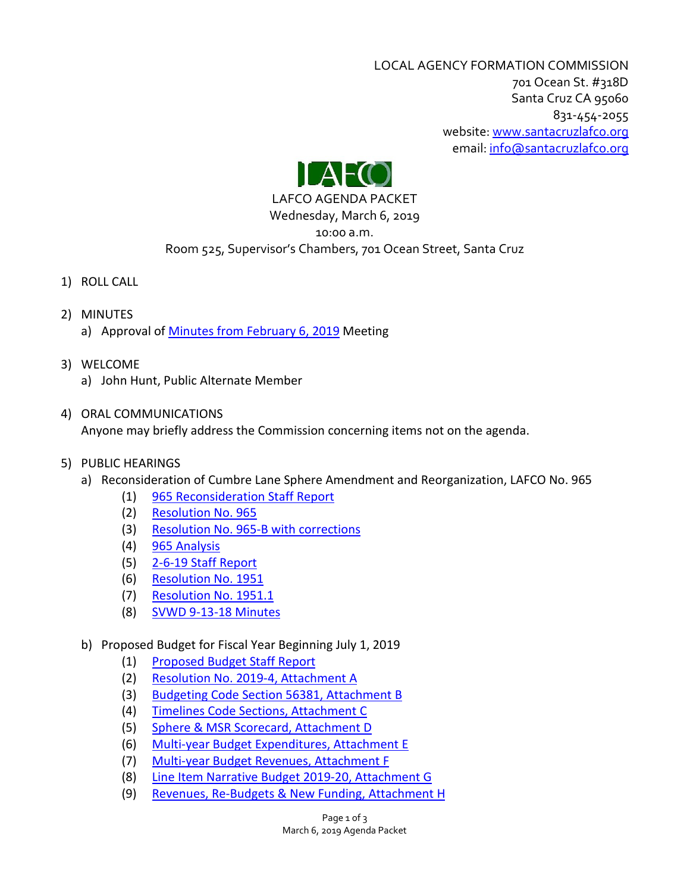LOCAL AGENCY FORMATION COMMISSION 701 Ocean St. #318D Santa Cruz CA 95060 831-454-2055 website: [www.santacruzlafco.org](http://www.santacruzlafco.org/) email[: info@santacruzlafco.org](mailto:info@santacruzlafco.org)



### LAFCO AGENDA PACKET Wednesday, March 6, 2019

## 10:00 a.m.

# Room 525, Supervisor's Chambers, 701 Ocean Street, Santa Cruz

- 1) ROLL CALL
- 2) MINUTES a) Approval of [Minutes from February 6, 2019](https://www.santacruzlafco.org/wp-content/uploads/2019/02/2-6-19-Minutes-1.pdf) Meeting
- 3) WELCOME
	- a) John Hunt, Public Alternate Member

## 4) ORAL COMMUNICATIONS Anyone may briefly address the Commission concerning items not on the agenda.

- 5) PUBLIC HEARINGS
	- a) Reconsideration of Cumbre Lane Sphere Amendment and Reorganization, LAFCO No. 965
		- (1) [965 Reconsideration Staff Report](https://www.santacruzlafco.org/wp-content/uploads/2019/02/5a1-965-Reconsideration-Staff-Report.pdf)
		- (2) [Resolution No. 965](https://www.santacruzlafco.org/wp-content/uploads/2019/02/5a2-Res-965_Redacted.pdf)
		- (3) [Resolution No. 965-B](https://www.santacruzlafco.org/wp-content/uploads/2019/02/5a3-Res.-No.-965-B-with-corrections.pdf) with corrections
		- (4) [965 Analysis](https://www.santacruzlafco.org/wp-content/uploads/2019/02/5a4-965-Analysis.pdf)
		- (5) [2-6-19 Staff Report](https://www.santacruzlafco.org/wp-content/uploads/2019/02/5a5-2-6-19-Staff-Report.pdf)
		- (6) [Resolution No. 1951](https://www.santacruzlafco.org/wp-content/uploads/2019/02/5a6-Res.-1951_Redacted.pdf)
		- (7) [Resolution No. 1951.1](https://www.santacruzlafco.org/wp-content/uploads/2019/02/5a7-Res.-1951.1_Redacted.pdf)
		- (8) [SVWD 9-13-18 Minutes](https://www.santacruzlafco.org/wp-content/uploads/2019/02/5a8-SVWD-9-13-18-Minutes.pdf)
	- b) Proposed Budget for Fiscal Year Beginning July 1, 2019
		- (1) [Proposed Budget Staff Report](https://www.santacruzlafco.org/wp-content/uploads/2019/02/5b1-Proposed-Budget-Staff-Report.pdf)
		- (2) [Resolution No. 2019-4,](https://www.santacruzlafco.org/wp-content/uploads/2019/02/5b2-Res.-No.-2019-4-Attachment-A.pdf) Attachment A
		- (3) [Budgeting Code Section 56381,](https://www.santacruzlafco.org/wp-content/uploads/2019/02/5b3-Budgeting-Code-56381-Attachment-B.pdf) Attachment B
		- (4) [Timelines Code](https://www.santacruzlafco.org/wp-content/uploads/2019/02/5b4-Timelines-Code-Sections-Attachment-C.pdf) Sections, Attachment C
		- (5) [Sphere & MSR Scorecard,](https://www.santacruzlafco.org/wp-content/uploads/2019/02/5b5-Sphere-and-MSR-2019-Scorecard-Attachment-D.pdf) Attachment D
		- (6) [Multi-year Budget Expenditures,](https://www.santacruzlafco.org/wp-content/uploads/2019/02/5b6-Multiyear-Budget-Expenditures-Attachment-E.pdf) Attachment E
		- (7) [Multi-year Budget Revenues,](https://www.santacruzlafco.org/wp-content/uploads/2019/02/5b7-Multiyear-Budget-Revenues-Attachment-F.pdf) Attachment F
		- (8) [Line Item Narrative Budget 2019-20,](https://www.santacruzlafco.org/wp-content/uploads/2019/02/5b8-Line-Item-Narrative-Budget-Attachment-G.pdf) Attachment G
		- (9) [Revenues, Re-Budgets & New Funding,](https://www.santacruzlafco.org/wp-content/uploads/2019/02/5b9-Revenues-Re-Budgets-New-Funding-Attachment-H.pdf) Attachment H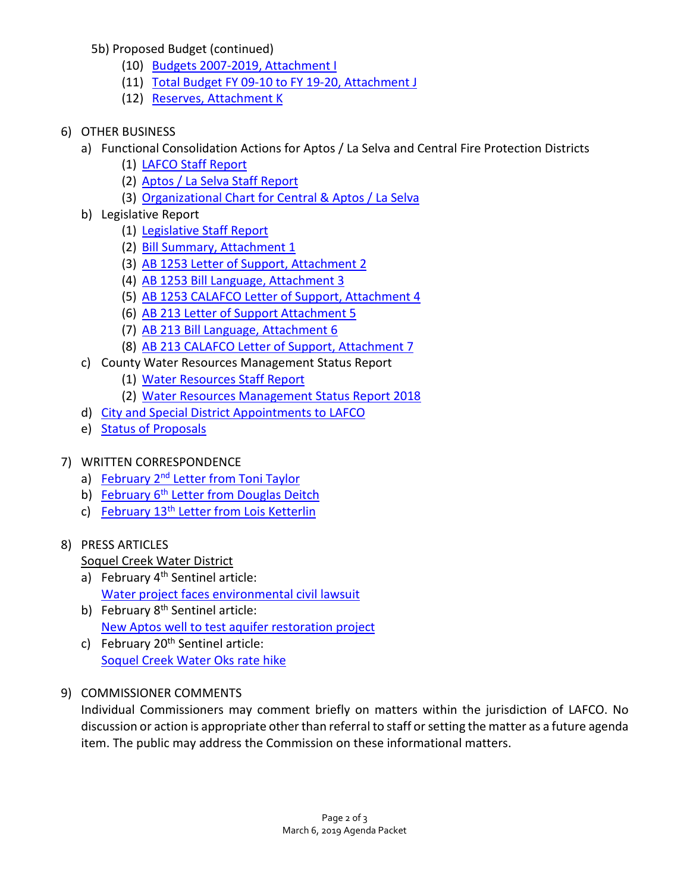5b) Proposed Budget (continued)

- (10) [Budgets 2007-2019,](https://www.santacruzlafco.org/wp-content/uploads/2019/02/5b10-Budgets-2007-2019-Attachment-I.pdf) Attachment I
- (11) [Total Budget FY 09-10 to FY 19-20,](https://www.santacruzlafco.org/wp-content/uploads/2019/02/5b11-Total-Budget-Attachment-J.pdf) Attachment J
- (12) Reserves, [Attachment K](https://www.santacruzlafco.org/wp-content/uploads/2019/02/5b12-Reserves-Attachment-K.pdf)
- 6) OTHER BUSINESS
	- a) Functional Consolidation Actions for Aptos / La Selva and Central Fire Protection Districts
		- (1) [LAFCO Staff Report](https://www.santacruzlafco.org/wp-content/uploads/2019/02/6a1-Fire-Consolidation-LAFCO-Staff-Report.pdf)
		- (2) [Aptos / La Selva Staff Report](https://www.santacruzlafco.org/wp-content/uploads/2019/02/6a2-Fire-Consolidation-Aptos-La-Selva-Staff-Report.pdf)
		- (3) [Organizational Chart for Central & Aptos / La Selva](https://www.santacruzlafco.org/wp-content/uploads/2019/02/6a3-Organizational-Chart.pdf)
	- b) Legislative Report
		- (1) [Legislative Staff Report](https://www.santacruzlafco.org/wp-content/uploads/2019/02/6b1-Legislative-Staff-Report.pdf)
		- (2) [Bill Summary, Attachment 1](https://www.santacruzlafco.org/wp-content/uploads/2019/02/6b2-Bill-Summary-Attachment-1.pdf)
		- (3) [AB 1253 Letter of Support, Attachment 2](https://www.santacruzlafco.org/wp-content/uploads/2019/02/6b3-AB-1253-Letter-of-Support-Attachment-2.pdf)
		- (4) [AB 1253 Bill Language, Attachment 3](https://www.santacruzlafco.org/wp-content/uploads/2019/02/6b4-AB-1253-Bill-Language-Attachment-3.pdf)
		- (5) [AB 1253 CALAFCO Letter of Support, Attachment 4](https://www.santacruzlafco.org/wp-content/uploads/2019/02/6b5-AB-1253-CALAFCO-Letter-of-Support-Attachment-4_Redacted.pdf)
		- (6) [AB 213 Letter of Support Attachment 5](https://www.santacruzlafco.org/wp-content/uploads/2019/02/6b6-AB-213-Letter-of-Support-Attachment-5.pdf)
		- (7) [AB 213 Bill Language, Attachment 6](https://www.santacruzlafco.org/wp-content/uploads/2019/02/6b7-AB-213-Bill-Language-Attachment-6.pdf)
		- (8) [AB 213 CALAFCO Letter of Support, Attachment 7](https://www.santacruzlafco.org/wp-content/uploads/2019/02/6b8-AB-213-CALAFCO-Letter-of-Support-Attachment-7_Redacted.pdf)
	- c) County Water Resources Management Status Report
		- (1) [Water Resources Staff Report](https://www.santacruzlafco.org/wp-content/uploads/2019/02/6c1-Water-Resources-LAFCO-Staff-Report.pdf)
		- (2) [Water Resources Management Status Report 2018](https://www.santacruzlafco.org/wp-content/uploads/2019/02/6c2-Water-Resources-Report-2018.pdf)
	- d) [City and Special District Appointments to LAFCO](https://www.santacruzlafco.org/wp-content/uploads/2019/02/6d-City-Special-District-Appointments.pdf)
	- e) [Status of Proposals](https://www.santacruzlafco.org/wp-content/uploads/2019/02/Status-of-Proposals-2-25-19.pdf)

## 7) WRITTEN CORRESPONDENCE

- a) February 2<sup>nd</sup> [Letter from Toni Taylor](https://www.santacruzlafco.org/wp-content/uploads/2019/02/7a-Taylor-Letter_Redacted.pdf)
- b) February 6<sup>th</sup> [Letter from Douglas Deitch](https://www.santacruzlafco.org/wp-content/uploads/2019/02/7b-Deitch-Letter.pdf)
- c) February 13<sup>th</sup> [Letter from Lois Ketterlin](https://www.santacruzlafco.org/wp-content/uploads/2019/02/7c-Ketterlin-Letter_Redacted.pdf)

## 8) PRESS ARTICLES

## Soquel Creek Water District

- a) February 4<sup>th</sup> Sentinel article: [Water project faces environmental civil lawsuit](https://www.santacruzlafco.org/wp-content/uploads/2019/02/8a-Water-Project-article_Redacted.pdf)
- b) February 8<sup>th</sup> Sentinel article: [New Aptos well to test aquifer restoration project](https://www.santacruzlafco.org/wp-content/uploads/2019/02/8b-New-Aptos-well-article.pdf)
- c) February  $20<sup>th</sup>$  Sentinel article: [Soquel Creek Water Oks rate hike](https://www.santacruzlafco.org/wp-content/uploads/2019/02/8c-Soquel-Creek-Water-District-OKs-rate-changes-article.pdf)
- 9) COMMISSIONER COMMENTS

Individual Commissioners may comment briefly on matters within the jurisdiction of LAFCO. No discussion or action is appropriate other than referral to staff or setting the matter as a future agenda item. The public may address the Commission on these informational matters.